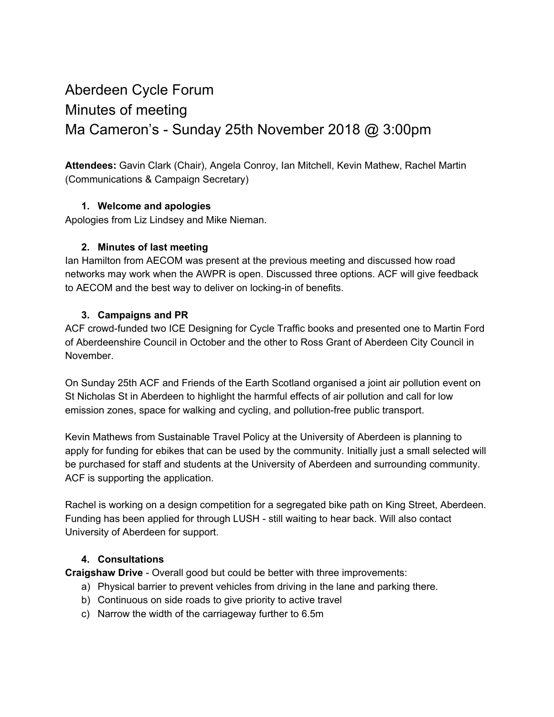# Aberdeen Cycle Forum Minutes of meeting Ma Cameron's - Sunday 25th November 2018 @ 3:00pm

**Attendees:** Gavin Clark (Chair), Angela Conroy, Ian Mitchell, Kevin Mathew, Rachel Martin (Communications & Campaign Secretary)

#### **1. Welcome and apologies**

Apologies from Liz Lindsey and Mike Nieman.

#### **2. Minutes of last meeting**

Ian Hamilton from AECOM was present at the previous meeting and discussed how road networks may work when the AWPR is open. Discussed three options. ACF will give feedback to AECOM and the best way to deliver on locking-in of benefits.

#### **3. Campaigns and PR**

ACF crowd-funded two ICE Designing for Cycle Traffic books and presented one to Martin Ford of Aberdeenshire Council in October and the other to Ross Grant of Aberdeen City Council in November.

On Sunday 25th ACF and Friends of the Earth Scotland organised a joint air pollution event on St Nicholas St in Aberdeen to highlight the harmful effects of air pollution and call for low emission zones, space for walking and cycling, and pollution-free public transport.

Kevin Mathews from Sustainable Travel Policy at the University of Aberdeen is planning to apply for funding for ebikes that can be used by the community. Initially just a small selected will be purchased for staff and students at the University of Aberdeen and surrounding community. ACF is supporting the application.

Rachel is working on a design competition for a segregated bike path on King Street, Aberdeen. Funding has been applied for through LUSH - still waiting to hear back. Will also contact University of Aberdeen for support.

#### **4. Consultations**

**Craigshaw Drive** - Overall good but could be better with three improvements:

- a) Physical barrier to prevent vehicles from driving in the lane and parking there.
- b) Continuous on side roads to give priority to active travel
- c) Narrow the width of the carriageway further to 6.5m